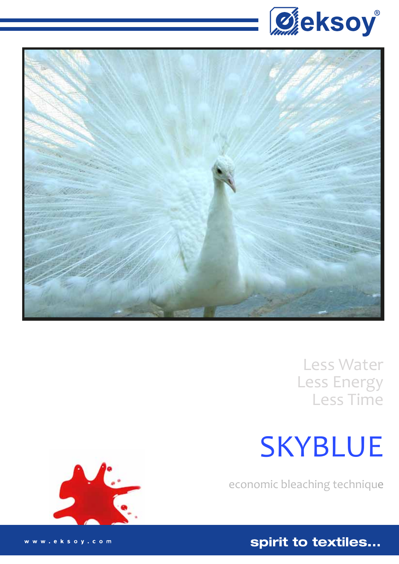



Less Water Less Energy Less Time

# **SKYBLUE**

economic bleaching technique

spirit to textiles...



www.eksoy.com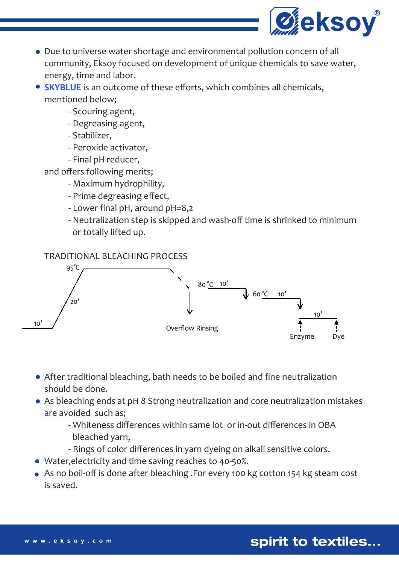

- Due to universe water shortage and environmental pollution concern of all community, Eksoy focused on development of unique chemicals to save water, energy, time and labor.
- **SKYBLUE** is an outcome of these efforts, which combines all chemicals, mentioned below;
	- Scouring agent,
	- Degreasing agent,
	- Stabilizer,
	- Peroxide activator,
	- Final pH reducer,
	- and offers following merits;
		- Maximum hydrophility,
		- Prime degreasing effect,
		- Lower final pH, around pH=8,2
		- Neutralization step is skipped and wash-off time is shrinked to minimum or totally lifted up.

## TRADITIONAL BLEACHING PROCESS



- After traditional bleaching, bath needs to be boiled and fine neutralization should be done.
- As bleaching ends at pH 8 Strong neutralization and core neutralization mistakes are avoided such as;
	- Whiteness differences within same lot or in-out differences in OBA bleached yarn,
	- Rings of color differences in yarn dyeing on alkali sensitive colors.
- Water,electricity and time saving reaches to 40-50%.
- As no boil-off is done after bleaching .For every 100 kg cotton 154 kg steam cost is saved.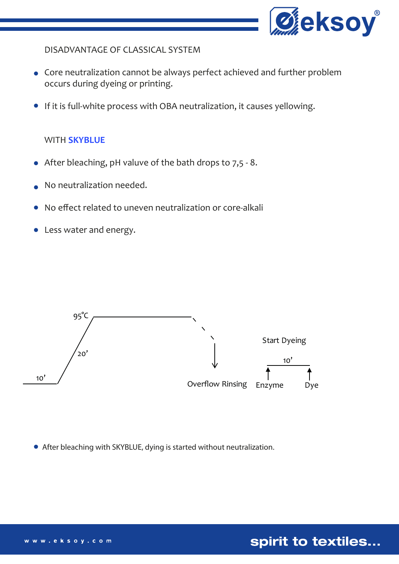

DISADVANTAGE OF CLASSICAL SYSTEM

- Core neutralization cannot be always perfect achieved and further problem occurs during dyeing or printing.
- If it is full-white process with OBA neutralization, it causes yellowing.

#### WITH **SKYBLUE**

- After bleaching, pH valuve of the bath drops to 7,5 8.
- No neutralization needed.
- No effect related to uneven neutralization or core-alkali
- Less water and energy.



After bleaching with SKYBLUE, dying is started without neutralization.